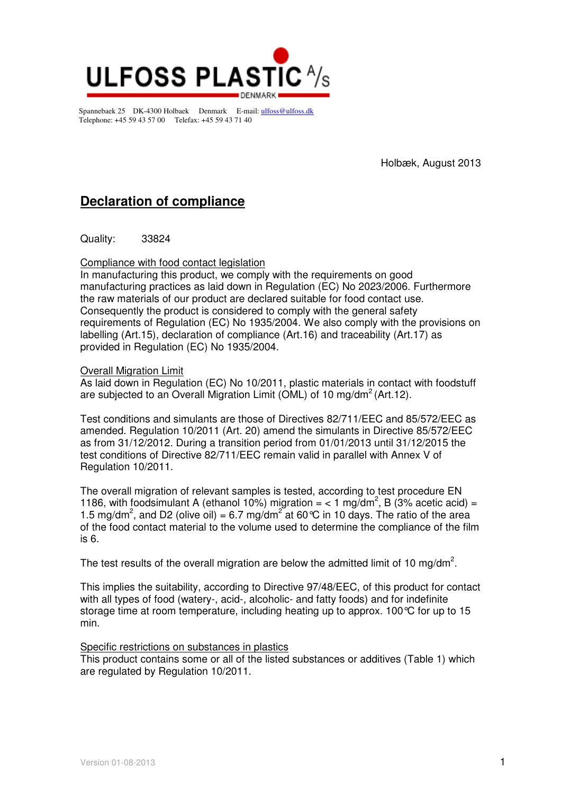

Spannebaek 25 DK-4300 Holbaek Denmark E-mail: ulfoss@ulfoss.dk Telephone: +45 59 43 57 00 Telefax: +45 59 43 71 40

Holbæk, August 2013

# **Declaration of compliance**

Quality: 33824

### Compliance with food contact legislation

In manufacturing this product, we comply with the requirements on good manufacturing practices as laid down in Regulation (EC) No 2023/2006. Furthermore the raw materials of our product are declared suitable for food contact use. Consequently the product is considered to comply with the general safety requirements of Regulation (EC) No 1935/2004. We also comply with the provisions on labelling (Art.15), declaration of compliance (Art.16) and traceability (Art.17) as provided in Regulation (EC) No 1935/2004.

### Overall Migration Limit

As laid down in Regulation (EC) No 10/2011, plastic materials in contact with foodstuff are subjected to an Overall Migration Limit (OML) of 10 mg/dm<sup>2</sup> (Art.12).

Test conditions and simulants are those of Directives 82/711/EEC and 85/572/EEC as amended. Regulation 10/2011 (Art. 20) amend the simulants in Directive 85/572/EEC as from 31/12/2012. During a transition period from 01/01/2013 until 31/12/2015 the test conditions of Directive 82/711/EEC remain valid in parallel with Annex V of Regulation 10/2011.

The overall migration of relevant samples is tested, according to test procedure EN 1186, with foodsimulant A (ethanol 10%) migration =  $<$  1 mg/dm<sup>2</sup>, B (3% acetic acid) = 1.5 mg/dm<sup>2</sup>, and D2 (olive oil) = 6.7 mg/dm<sup>2</sup> at 60 °C in 10 days. The ratio of the area of the food contact material to the volume used to determine the compliance of the film is 6.

The test results of the overall migration are below the admitted limit of 10 mg/dm<sup>2</sup>.

This implies the suitability, according to Directive 97/48/EEC, of this product for contact with all types of food (watery-, acid-, alcoholic- and fatty foods) and for indefinite storage time at room temperature, including heating up to approx. 100°C for up to 15 min.

### Specific restrictions on substances in plastics

This product contains some or all of the listed substances or additives (Table 1) which are regulated by Regulation 10/2011.